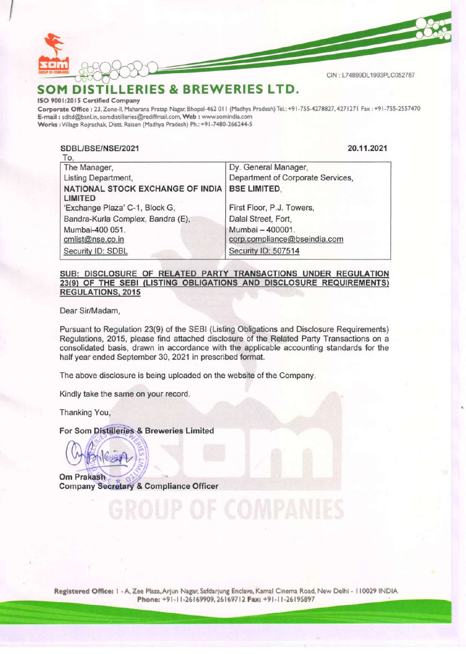

 $C/N$ 

# SOM DISTILLERIES & BREWERIES LTD.

### ISO 9001:2015 Certified Company

Corporate Office : 23, Zone-Il, Maharana Pratap Nagar, Bhopal-462 01 | (Madhya Pradesh) Tel.: +9 |-755-4278827, 427127! Fax : +9|-755-2557470 E-mail : sditd@bsnl.in, somdistilleries@rediffmail.com, Web : www.somindia.com Works : Village Rojrachak, Distt. Raisen (Madhya Pradesh) Ph.: +91-7480-266244-5 M DISTILLERIES & BREW<br>
M DISTILLERIES & BREW<br>
DISTILLERIES & BREW<br>
ate Office : 23, Zone-II, Maharana Pratap Nagar, Bhopal-462 01<br>
sdltd@bsnl.in, somdistilleries@rediffmail.com, Web : www.son<br>
Village Rojrachak, Distt. Rai

### SDBL/BSE/NSE/2021 20.11.2021  $T_{\rm{c}}$

| $\overline{\mathsf{L}}$           |                                   |  |
|-----------------------------------|-----------------------------------|--|
| The Manager,                      | Dy. General Manager,              |  |
| Listing Department,               | Department of Corporate Services, |  |
| NATIONAL STOCK EXCHANGE OF INDIA  | <b>BSE LIMITED,</b>               |  |
| <b>LIMITED</b>                    |                                   |  |
| 'Exchange Plaza' C-1, Block G,    | First Floor, P.J. Towers,         |  |
| Bandra-Kurla Complex, Bandra (E), | Dalal Street, Fort,               |  |
| Mumbai-400 051.                   | Mumbai - 400001.                  |  |
| cmlist@nse.co.in                  | corp.compliance@bseindia.com      |  |
| Security ID: SDBL                 | Security ID: 507514               |  |
|                                   |                                   |  |

## SUB: DISCLOSURE OF RELATED PARTY TRANSACTIONS UNDER REGULATION 23(9) OF THE SEBI (LISTING OBLIGATIONS AND DISCLOSURE REQUIREMENTS) REGULATIONS, 2015

Dear Sir/Madam,

Pursuant to Regulation 23(9) of the SEBI (Listing Obligations and Disclosure Requirements) Regulations, 2015, please find attached disclosure of the Related Party Transactions on a consolidated basis, drawn in accordance with the applicable accounting standards for the half year ended September 30, 2021 in prescribed format.

The above disclosure is being uploaded on the website of the Company.

Kindly take the same on your record.

Thanking You,

# For Som Distilleries & Breweries Limited

Om Prakash Company Secretary & Compliance Officer

SOUP OF COMP